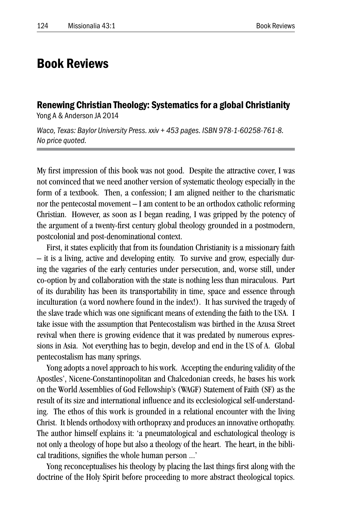## Book Reviews

Renewing Christian Theology: Systematics for a global Christianity Yong A & Anderson JA 2014

*Waco, Texas: Baylor University Press. xxiv + 453 pages. ISBN 978-1-60258-761-8. No price quoted.*

My first impression of this book was not good. Despite the attractive cover, I was not convinced that we need another version of systematic theology especially in the form of a textbook. Then, a confession; I am aligned neither to the charismatic nor the pentecostal movement – I am content to be an orthodox catholic reforming Christian. However, as soon as I began reading, I was gripped by the potency of the argument of a twenty-first century global theology grounded in a postmodern, postcolonial and post-denominational context.

First, it states explicitly that from its foundation Christianity is a missionary faith – it is a living, active and developing entity. To survive and grow, especially during the vagaries of the early centuries under persecution, and, worse still, under co-option by and collaboration with the state is nothing less than miraculous. Part of its durability has been its transportability in time, space and essence through inculturation (a word nowhere found in the index!). It has survived the tragedy of the slave trade which was one significant means of extending the faith to the USA. I take issue with the assumption that Pentecostalism was birthed in the Azusa Street revival when there is growing evidence that it was predated by numerous expressions in Asia. Not everything has to begin, develop and end in the US of A. Global pentecostalism has many springs.

Yong adopts a novel approach to his work. Accepting the enduring validity of the Apostles', Nicene-Constantinopolitan and Chalcedonian creeds, he bases his work on the World Assemblies of God Fellowship's (WAGF) Statement of Faith (SF) as the result of its size and international influence and its ecclesiological self-understanding. The ethos of this work is grounded in a relational encounter with the living Christ. It blends orthodoxy with orthopraxy and produces an innovative orthopathy. The author himself explains it: 'a pneumatological and eschatological theology is not only a theology of hope but also a theology of the heart. The heart, in the biblical traditions, signifies the whole human person ...'

Yong reconceptualises his theology by placing the last things first along with the doctrine of the Holy Spirit before proceeding to more abstract theological topics.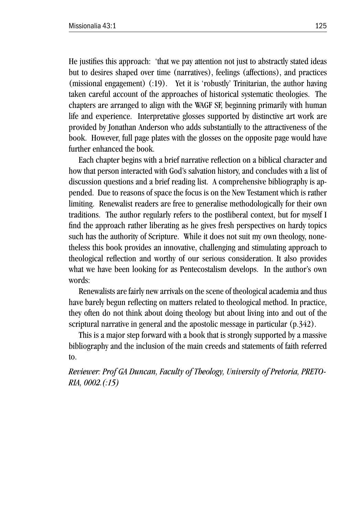He justifies this approach: 'that we pay attention not just to abstractly stated ideas but to desires shaped over time (narratives), feelings (affections), and practices (missional engagement) (:19). Yet it is 'robustly' Trinitarian, the author having taken careful account of the approaches of historical systematic theologies. The chapters are arranged to align with the WAGF SF, beginning primarily with human life and experience. Interpretative glosses supported by distinctive art work are provided by Jonathan Anderson who adds substantially to the attractiveness of the book. However, full page plates with the glosses on the opposite page would have further enhanced the book.

Each chapter begins with a brief narrative reflection on a biblical character and how that person interacted with God's salvation history, and concludes with a list of discussion questions and a brief reading list. A comprehensive bibliography is appended. Due to reasons of space the focus is on the New Testament which is rather limiting. Renewalist readers are free to generalise methodologically for their own traditions. The author regularly refers to the postliberal context, but for myself I find the approach rather liberating as he gives fresh perspectives on hardy topics such has the authority of Scripture. While it does not suit my own theology, nonetheless this book provides an innovative, challenging and stimulating approach to theological reflection and worthy of our serious consideration. It also provides what we have been looking for as Pentecostalism develops. In the author's own words:

Renewalists are fairly new arrivals on the scene of theological academia and thus have barely begun reflecting on matters related to theological method. In practice, they often do not think about doing theology but about living into and out of the scriptural narrative in general and the apostolic message in particular (p.342).

This is a major step forward with a book that is strongly supported by a massive bibliography and the inclusion of the main creeds and statements of faith referred to.

*Reviewer: Prof GA Duncan, Faculty of Theology, University of Pretoria, PRETO-RIA, 0002.(:15)*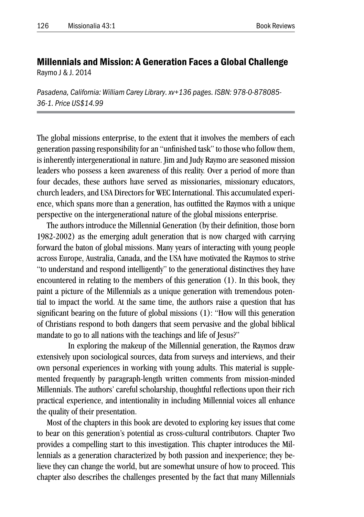## Millennials and Mission: A Generation Faces a Global Challenge Raymo J & J. 2014

*Pasadena, California: William Carey Library. xv+136 pages. ISBN: 978-0-878085- 36-1. Price US\$14.99*

The global missions enterprise, to the extent that it involves the members of each generation passing responsibility for an "unfinished task" to those who follow them, is inherently intergenerational in nature. Jim and Judy Raymo are seasoned mission leaders who possess a keen awareness of this reality. Over a period of more than four decades, these authors have served as missionaries, missionary educators, church leaders, and USA Directors for WEC International. This accumulated experience, which spans more than a generation, has outfitted the Raymos with a unique perspective on the intergenerational nature of the global missions enterprise.

The authors introduce the Millennial Generation (by their definition, those born 1982-2002) as the emerging adult generation that is now charged with carrying forward the baton of global missions. Many years of interacting with young people across Europe, Australia, Canada, and the USA have motivated the Raymos to strive "to understand and respond intelligently" to the generational distinctives they have encountered in relating to the members of this generation (1). In this book, they paint a picture of the Millennials as a unique generation with tremendous potential to impact the world. At the same time, the authors raise a question that has significant bearing on the future of global missions (1): "How will this generation of Christians respond to both dangers that seem pervasive and the global biblical mandate to go to all nations with the teachings and life of Jesus?"

In exploring the makeup of the Millennial generation, the Raymos draw extensively upon sociological sources, data from surveys and interviews, and their own personal experiences in working with young adults. This material is supplemented frequently by paragraph-length written comments from mission-minded Millennials. The authors' careful scholarship, thoughtful reflections upon their rich practical experience, and intentionality in including Millennial voices all enhance the quality of their presentation.

Most of the chapters in this book are devoted to exploring key issues that come to bear on this generation's potential as cross-cultural contributors. Chapter Two provides a compelling start to this investigation. This chapter introduces the Millennials as a generation characterized by both passion and inexperience; they believe they can change the world, but are somewhat unsure of how to proceed. This chapter also describes the challenges presented by the fact that many Millennials